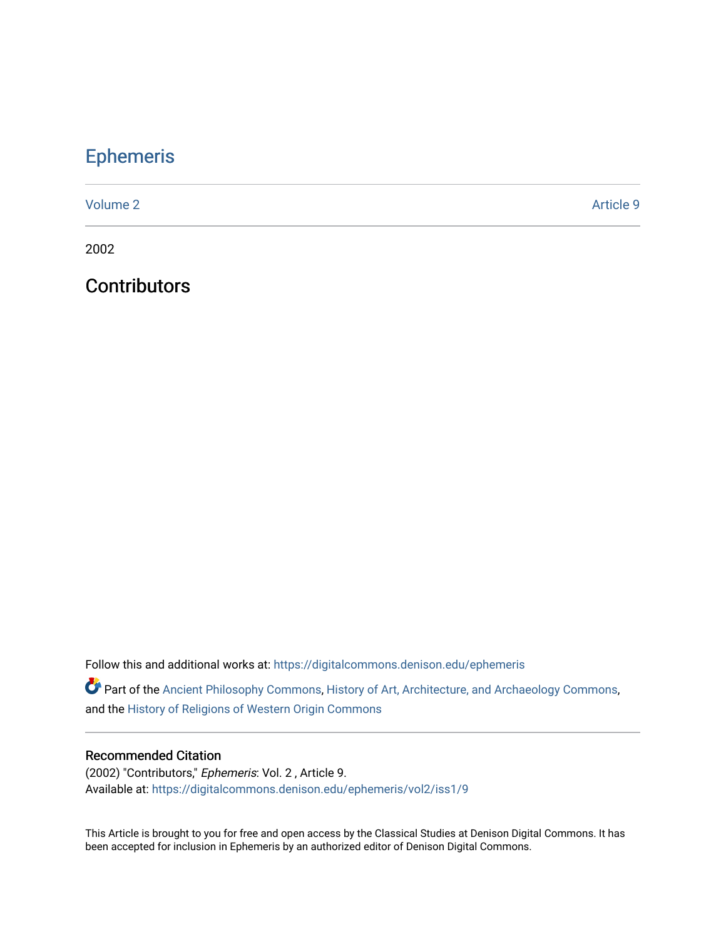## [Ephemeris](https://digitalcommons.denison.edu/ephemeris)

[Volume 2](https://digitalcommons.denison.edu/ephemeris/vol2) Article 9

2002

**Contributors** 

Follow this and additional works at: [https://digitalcommons.denison.edu/ephemeris](https://digitalcommons.denison.edu/ephemeris?utm_source=digitalcommons.denison.edu%2Fephemeris%2Fvol2%2Fiss1%2F9&utm_medium=PDF&utm_campaign=PDFCoverPages) 

Part of the [Ancient Philosophy Commons](http://network.bepress.com/hgg/discipline/448?utm_source=digitalcommons.denison.edu%2Fephemeris%2Fvol2%2Fiss1%2F9&utm_medium=PDF&utm_campaign=PDFCoverPages), [History of Art, Architecture, and Archaeology Commons](http://network.bepress.com/hgg/discipline/510?utm_source=digitalcommons.denison.edu%2Fephemeris%2Fvol2%2Fiss1%2F9&utm_medium=PDF&utm_campaign=PDFCoverPages), and the [History of Religions of Western Origin Commons](http://network.bepress.com/hgg/discipline/542?utm_source=digitalcommons.denison.edu%2Fephemeris%2Fvol2%2Fiss1%2F9&utm_medium=PDF&utm_campaign=PDFCoverPages)

## Recommended Citation

(2002) "Contributors," Ephemeris: Vol. 2 , Article 9. Available at: [https://digitalcommons.denison.edu/ephemeris/vol2/iss1/9](https://digitalcommons.denison.edu/ephemeris/vol2/iss1/9?utm_source=digitalcommons.denison.edu%2Fephemeris%2Fvol2%2Fiss1%2F9&utm_medium=PDF&utm_campaign=PDFCoverPages)

This Article is brought to you for free and open access by the Classical Studies at Denison Digital Commons. It has been accepted for inclusion in Ephemeris by an authorized editor of Denison Digital Commons.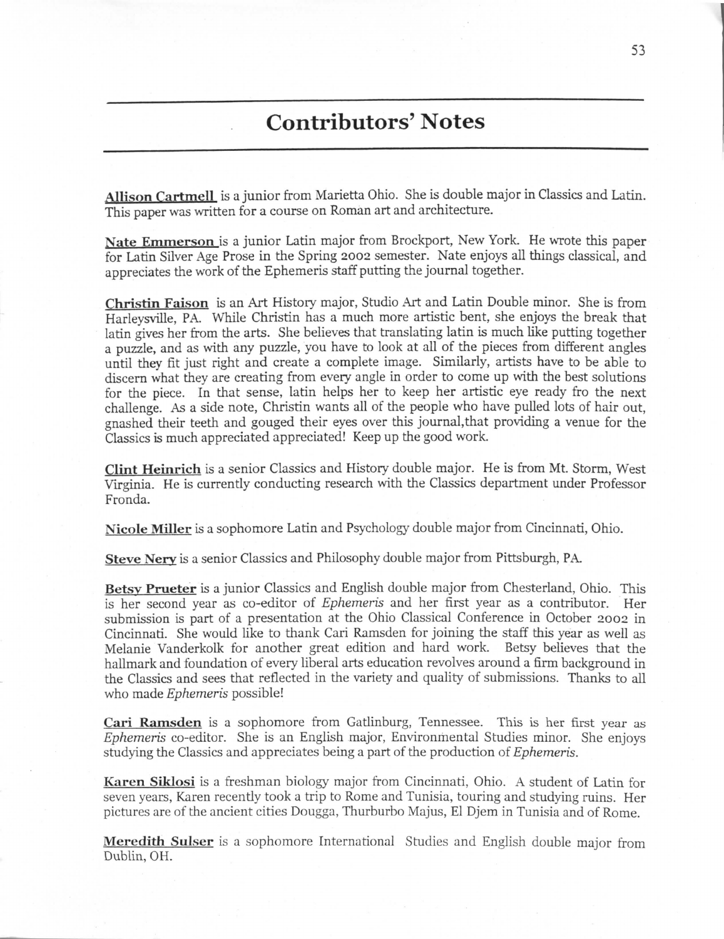## **Contributors' Notes**

**Allison Cartmell** is a junior from Marietta Ohio. She is double major in Classics and Latin. This paper was written for a course on Roman art and architecture.

**Nate Emmerson** is a junior Latin major from Brockport, New York. He wrote this paper for Latin Silver Age Prose in the Spring 2002 semester. Nate enjoys all things classical, and appreciates the work of the Ephemeris staff putting the journal together.

**Christin Faison** is an Art History major, Studio Art and Latin Double minor. She is from Harleysville, PA. While Christin has a much more artistic bent, she enjoys the break that latin gives her from the arts. She believes that translating latin is much like putting together a puzzle, and as with any puzzle, you have to look at all of the pieces from different angles until they fit just right and create a complete image. Similarly, artists have to be able to discern what they are creating from every angle in order to come up with the best solutions for the piece. In that sense, latin helps her to keep her artistic eye ready fro the next challenge. As a side note, Christin wants all of the people who have pulled lots of hair out, gnashed their teeth and gouged their eyes over this journal,that providing a venue for the Classics is much appreciated appreciated! Keep up the good work.

**Clint Heinrich** is a senior Classics and History double major. He is from Mt. Storm, West Virginia. He is currently conducting research with the Classics department under Professor Fronda.

**Nicole Miller** is a sophomore Latin and Psychology double major from Cincinnati, Ohio.

**Steve Nerv** is a senior Classics and Philosophy double major from Pittsburgh, PA.

**Betsy Prueter** is a junior Classics and English double major from Chesterland, Ohio. This is her second year as co-editor of *Ephemeris* and her first year as a contributor. Her submission is part of a presentation at the Ohio Classical Conference in October 2002 in Cincinnati. She would like to thank Cari Ramsden for joining the staff this year as well as Melanie Vanderkolk for another great edition and hard work. Betsy believes that the hallmark and foundation of every liberal arts education revolves around a firm background in the Classics and sees that reflected in the variety and quality of submissions. Thanks to all who made *Ephemeris* possible!

**Cari Ramsden** is a sophomore from Gatlinburg, Tennessee. This is her first year as *Ephemeris* co-editor. She is an English major, Environmental Studies minor. She enjoys studying the Classics and appreciates being a part of the production *of Ephemeris.*

**Karen Siklosi** is a freshman biology major from Cincinnati, Ohio. A student of Latin for seven years, Karen recently took a trip to Rome and Tunisia, touring and studying ruins. Her pictures are of the ancient cities Dougga, Thurburbo Majus, El Djem in Tunisia and of Rome.

**Meredith Sulser** is a sophomore International Studies and English double major from Dublin, OH.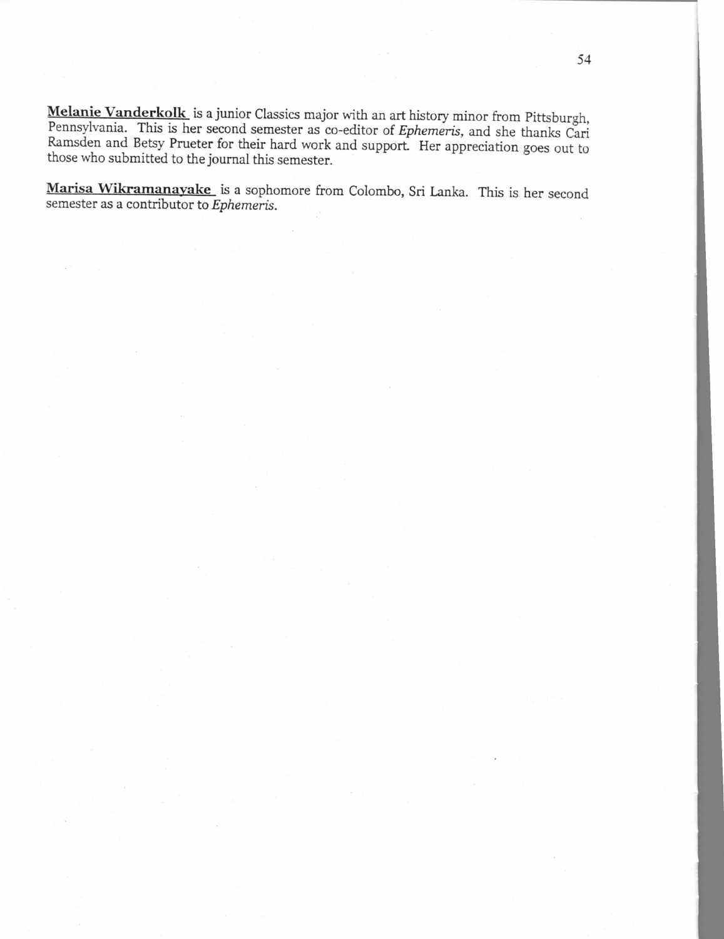**Melanie Vanderkolk** is a junior Classics major with an art history minor from Pittsburgh, Pennsylvania. This is her second semester as co-editor of *Ephemeris,* and she thanks Cari Ramsden and Betsy Prueter for their hard work and support. Her appreciation goes out to those who submitted to the journal this semester.

**Marisa Wikramanayake** is a sophomore from Colombo, Sri Lanka. This is her second semester as a contributor to *Ephemeris.*